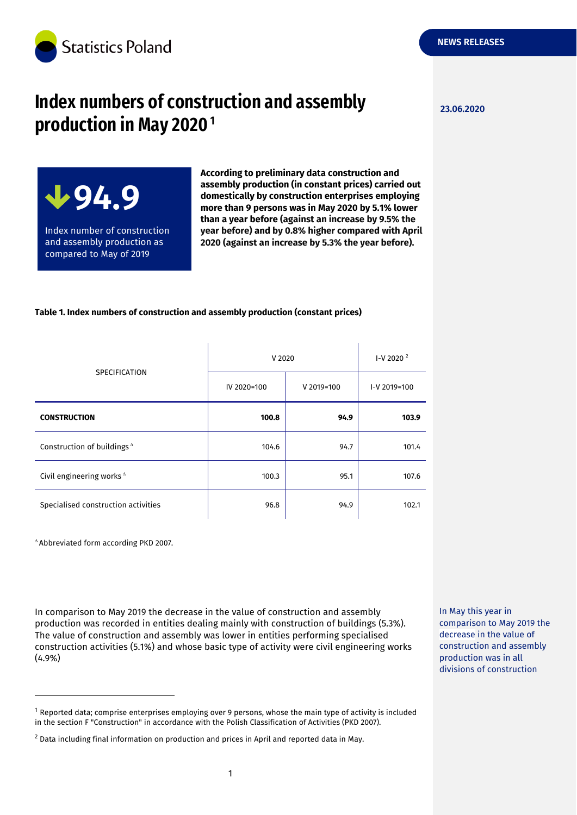

# **23.06.2020 Index numbers of construction and assembly production in May 2020<sup>1</sup>**

**NEWS RELEASES**

**94.9** Index number of construction and assembly production as compared to May of 2019

**According to preliminary data construction and assembly production (in constant prices) carried out domestically by construction enterprises employing more than 9 persons was in May 2020 by 5.1% lower than a year before (against an increase by 9.5% the year before) and by 0.8% higher compared with April 2020 (against an increase by 5.3% the year before).**

#### **Table 1. Index numbers of construction and assembly production (constant prices)**

| <b>SPECIFICATION</b>                   | V 2020      |                | $I-V 20202$  |
|----------------------------------------|-------------|----------------|--------------|
|                                        | IV 2020=100 | $V 2019 = 100$ | I-V 2019=100 |
| <b>CONSTRUCTION</b>                    | 100.8       | 94.9           | 103.9        |
| Construction of buildings <sup>A</sup> | 104.6       | 94.7           | 101.4        |
| Civil engineering works <sup>^</sup>   | 100.3       | 95.1           | 107.6        |
| Specialised construction activities    | 96.8        | 94.9           | 102.1        |

Abbreviated form according PKD 2007.

-

In comparison to May 2019 the decrease in the value of construction and assembly production was recorded in entities dealing mainly with construction of buildings (5.3%). The value of construction and assembly was lower in entities performing specialised construction activities (5.1%) and whose basic type of activity were civil engineering works (4.9%)

In May this year in comparison to May 2019 the decrease in the value of construction and assembly production was in all divisions of construction

 $1$  Reported data; comprise enterprises employing over 9 persons, whose the main type of activity is included in the section F "Construction" in accordance with the Polish Classification of Activities (PKD 2007).

<sup>&</sup>lt;sup>2</sup> Data including final information on production and prices in April and reported data in May.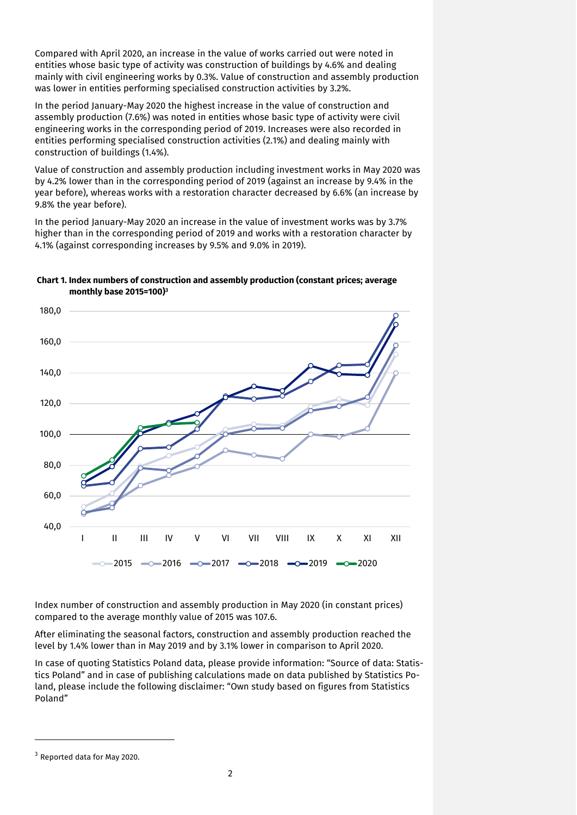Compared with April 2020, an increase in the value of works carried out were noted in entities whose basic type of activity was construction of buildings by 4.6% and dealing mainly with civil engineering works by 0.3%. Value of construction and assembly production was lower in entities performing specialised construction activities by 3.2%.

In the period January-May 2020 the highest increase in the value of construction and assembly production (7.6%) was noted in entities whose basic type of activity were civil engineering works in the corresponding period of 2019. Increases were also recorded in entities performing specialised construction activities (2.1%) and dealing mainly with construction of buildings (1.4%).

Value of construction and assembly production including investment works in May 2020 was by 4.2% lower than in the corresponding period of 2019 (against an increase by 9.4% in the year before), whereas works with a restoration character decreased by 6.6% (an increase by 9.8% the year before).

In the period January-May 2020 an increase in the value of investment works was by 3.7% higher than in the corresponding period of 2019 and works with a restoration character by 4.1% (against corresponding increases by 9.5% and 9.0% in 2019).



### **Chart 1. Index numbers of construction and assembly production (constant prices; average monthly base 2015=100) 3**

Index number of construction and assembly production in May 2020 (in constant prices) compared to the average monthly value of 2015 was 107.6.

After eliminating the seasonal factors, construction and assembly production reached the level by 1.4% lower than in May 2019 and by 3.1% lower in comparison to April 2020.

In case of quoting Statistics Poland data, please provide information: "Source of data: Statistics Poland" and in case of publishing calculations made on data published by Statistics Poland, please include the following disclaimer: "Own study based on figures from Statistics Poland"

-

<sup>3</sup> Reported data for May 2020.